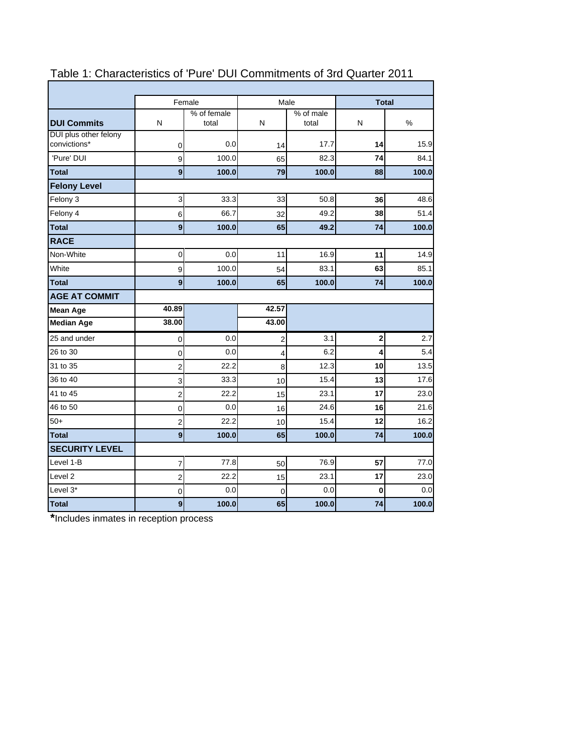|                       |                  | Female               |             | Male               | <b>Total</b> |       |  |  |
|-----------------------|------------------|----------------------|-------------|--------------------|--------------|-------|--|--|
| <b>DUI Commits</b>    | N                | % of female<br>total | N           | % of male<br>total | N            | %     |  |  |
| DUI plus other felony |                  |                      |             |                    |              |       |  |  |
| convictions*          | 0                | 0.0                  | 14          | 17.7               | 14           | 15.9  |  |  |
| 'Pure' DUI            | 9                | 100.0                | 65          | 82.3               | 74           | 84.1  |  |  |
| <b>Total</b>          | 9                | 100.0                | 79          | 100.0              | 88           | 100.0 |  |  |
| <b>Felony Level</b>   |                  |                      |             |                    |              |       |  |  |
| Felony 3              | 3                | 33.3                 | 33          | 50.8               | 36           | 48.6  |  |  |
| Felony 4              | 6                | 66.7                 | 32          | 49.2               | 38           | 51.4  |  |  |
| <b>Total</b>          | 9                | 100.0                | 65          | 49.2               | 74           | 100.0 |  |  |
| <b>RACE</b>           |                  |                      |             |                    |              |       |  |  |
| Non-White             | 0                | 0.0                  | 11          | 16.9               | 11           | 14.9  |  |  |
| White                 | $\boldsymbol{9}$ | 100.0                | 54          | 83.1               | 63           | 85.1  |  |  |
| <b>Total</b>          | 9                | 100.0                | 65          | 100.0              | 74           | 100.0 |  |  |
| <b>AGE AT COMMIT</b>  |                  |                      |             |                    |              |       |  |  |
| <b>Mean Age</b>       | 40.89            |                      | 42.57       |                    |              |       |  |  |
| <b>Median Age</b>     | 38.00            |                      | 43.00       |                    |              |       |  |  |
| 25 and under          | 0                | 0.0                  | 2           | 3.1                | 2            | 2.7   |  |  |
| 26 to 30              | 0                | 0.0                  | 4           | 6.2                | 4            | 5.4   |  |  |
| 31 to 35              | 2                | 22.2                 | 8           | 12.3               | 10           | 13.5  |  |  |
| 36 to 40              | 3                | 33.3                 | 10          | 15.4               | 13           | 17.6  |  |  |
| 41 to 45              | $\overline{2}$   | 22.2                 | 15          | 23.1               | 17           | 23.0  |  |  |
| 46 to 50              | 0                | 0.0                  | 16          | 24.6               | 16           | 21.6  |  |  |
| $50+$                 | 2                | 22.2                 | 10          | 15.4               | 12           | 16.2  |  |  |
| <b>Total</b>          | 9                | 100.0                | 65          | 100.0              | 74           | 100.0 |  |  |
| <b>SECURITY LEVEL</b> |                  |                      |             |                    |              |       |  |  |
| Level 1-B             | $\boldsymbol{7}$ | 77.8                 | 50          | 76.9               | 57           | 77.0  |  |  |
| Level <sub>2</sub>    | $\overline{c}$   | 22.2                 | 15          | 23.1               | 17           | 23.0  |  |  |
| Level 3*              | 0                | 0.0                  | $\mathbf 0$ | 0.0                | $\bf{0}$     | 0.0   |  |  |
| Total                 | 9                | 100.0                | 65          | 100.0              | 74           | 100.0 |  |  |

# Table 1: Characteristics of 'Pure' DUI Commitments of 3rd Quarter 2011

h

**\***Includes inmates in reception process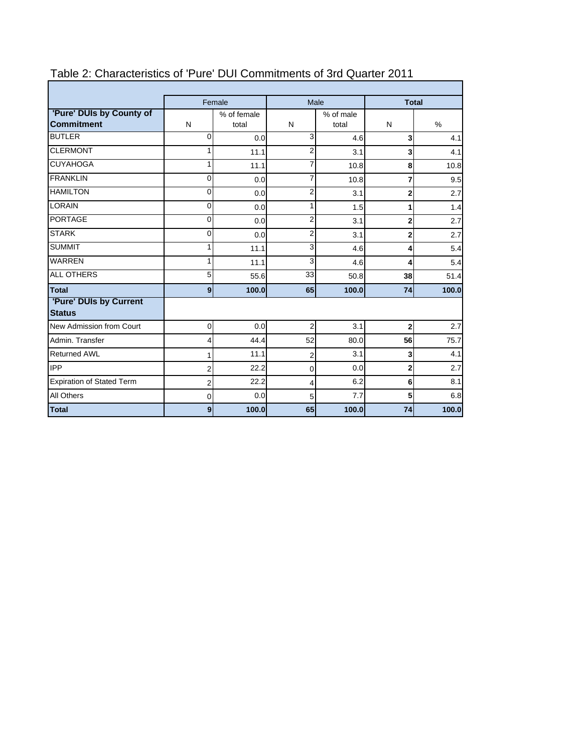|                                               |                | Female               | Male           |                    |                         | <b>Total</b> |
|-----------------------------------------------|----------------|----------------------|----------------|--------------------|-------------------------|--------------|
| 'Pure' DUIs by County of<br><b>Commitment</b> | N              | % of female<br>total | N              | % of male<br>total | N                       | $\%$         |
| <b>BUTLER</b>                                 | $\Omega$       | 0.0                  | 3              | 4.6                | $\overline{\mathbf{3}}$ | 4.1          |
| <b>CLERMONT</b>                               | 1              | 11.1                 | $\overline{2}$ | 3.1                | 3                       | 4.1          |
| <b>CUYAHOGA</b>                               | 1              | 11.1                 | 7              | 10.8               | 8                       | 10.8         |
| <b>FRANKLIN</b>                               | 0              | 0.0                  | 7              | 10.8               | 7                       | 9.5          |
| <b>HAMILTON</b>                               | 0              | 0.0                  | 2              | 3.1                | $\overline{2}$          | 2.7          |
| <b>LORAIN</b>                                 | 0              | 0.0                  | 1              | 1.5                | 1                       | 1.4          |
| <b>PORTAGE</b>                                | $\Omega$       | 0.0                  | $\overline{2}$ | 3.1                | $\overline{2}$          | 2.7          |
| <b>STARK</b>                                  | 0              | 0.0                  | 2              | 3.1                | $\overline{2}$          | 2.7          |
| <b>SUMMIT</b>                                 | 1              | 11.1                 | 3              | 4.6                | 4                       | 5.4          |
| <b>WARREN</b>                                 | 1              | 11.1                 | 3              | 4.6                | 4                       | 5.4          |
| <b>ALL OTHERS</b>                             | 5              | 55.6                 | 33             | 50.8               | 38                      | 51.4         |
| <b>Total</b>                                  | 9 <sub>l</sub> | 100.0                | 65             | 100.0              | 74                      | 100.0        |
| 'Pure' DUIs by Current<br><b>Status</b>       |                |                      |                |                    |                         |              |
| New Admission from Court                      | $\overline{0}$ | 0.0                  | $\overline{2}$ | 3.1                | $\overline{2}$          | 2.7          |
| Admin, Transfer                               | 4              | 44.4                 | 52             | 80.0               | 56                      | 75.7         |
| <b>Returned AWL</b>                           | 1              | 11.1                 | $\overline{2}$ | 3.1                | 3                       | 4.1          |
| <b>IPP</b>                                    | $\overline{2}$ | 22.2                 | 0              | 0.0                | $\mathbf{2}$            | 2.7          |
| <b>Expiration of Stated Term</b>              | 2              | 22.2                 | 4              | 6.2                | 6                       | 8.1          |
| <b>All Others</b>                             | 0              | 0.0                  | 5              | 7.7                | 5                       | 6.8          |
| Total                                         | 9              | 100.0                | 65             | 100.0              | 74                      | 100.0        |

## Table 2: Characteristics of 'Pure' DUI Commitments of 3rd Quarter 2011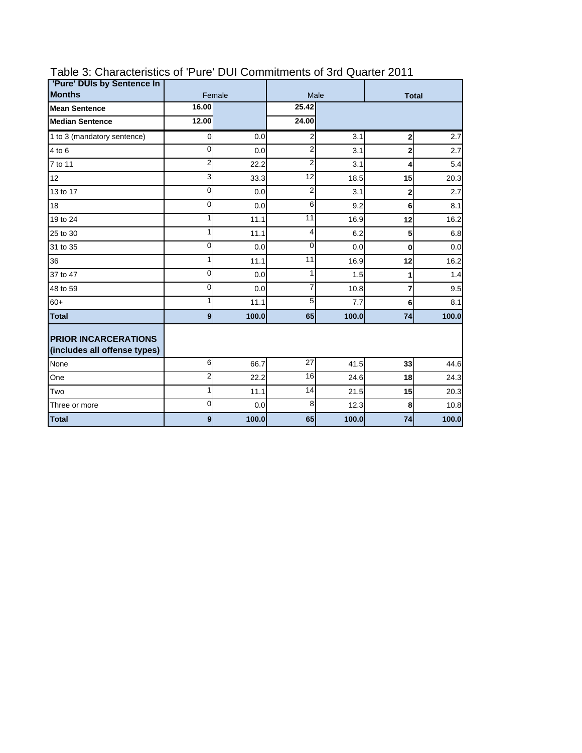| 'Pure' DUIs by Sentence In                                  |                |        |                 |       |                |       |  |
|-------------------------------------------------------------|----------------|--------|-----------------|-------|----------------|-------|--|
| <b>Months</b>                                               |                | Female |                 | Male  | <b>Total</b>   |       |  |
| <b>Mean Sentence</b>                                        | 16.00          |        | 25.42           |       |                |       |  |
| <b>Median Sentence</b>                                      | 12.00          |        | 24.00           |       |                |       |  |
| 1 to 3 (mandatory sentence)                                 | $\overline{O}$ | 0.0    | 2               | 3.1   | $\mathbf{2}$   | 2.7   |  |
| 4 to 6                                                      | 0              | 0.0    | 2               | 3.1   | $\mathbf{2}$   | 2.7   |  |
| 7 to 11                                                     | $\overline{2}$ | 22.2   | $\overline{2}$  | 3.1   | 4              | 5.4   |  |
| 12                                                          | 3              | 33.3   | 12              | 18.5  | 15             | 20.3  |  |
| 13 to 17                                                    | 0              | 0.0    | $\overline{2}$  | 3.1   | $\overline{2}$ | 2.7   |  |
| 18                                                          | $\mathbf{0}$   | 0.0    | 6               | 9.2   | 6              | 8.1   |  |
| 19 to 24                                                    | 1              | 11.1   | 11              | 16.9  | 12             | 16.2  |  |
| 25 to 30                                                    | $\mathbf{1}$   | 11.1   | 4               | 6.2   | 5              | 6.8   |  |
| 31 to 35                                                    | $\mathbf{0}$   | 0.0    | $\mathbf{0}$    | 0.0   | $\mathbf{0}$   | 0.0   |  |
| 36                                                          | 1              | 11.1   | 11              | 16.9  | 12             | 16.2  |  |
| 37 to 47                                                    | 0              | 0.0    | 1               | 1.5   | 1              | 1.4   |  |
| 48 to 59                                                    | $\Omega$       | 0.0    | 7               | 10.8  | $\overline{7}$ | 9.5   |  |
| $60+$                                                       | 1              | 11.1   | 5               | 7.7   | 6              | 8.1   |  |
| <b>Total</b>                                                | $\overline{9}$ | 100.0  | 65              | 100.0 | 74             | 100.0 |  |
| <b>PRIOR INCARCERATIONS</b><br>(includes all offense types) |                |        |                 |       |                |       |  |
| None                                                        | 6              | 66.7   | 27              | 41.5  | 33             | 44.6  |  |
| One                                                         | $\overline{2}$ | 22.2   | $\overline{16}$ | 24.6  | 18             | 24.3  |  |
| Two                                                         | $\mathbf{1}$   | 11.1   | 14              | 21.5  | 15             | 20.3  |  |
| Three or more                                               | $\Omega$       | 0.0    | 8               | 12.3  | 8              | 10.8  |  |
| <b>Total</b>                                                | $\mathbf{g}$   | 100.0  | 65              | 100.0 | 74             | 100.0 |  |

## Table 3: Characteristics of 'Pure' DUI Commitments of 3rd Quarter 2011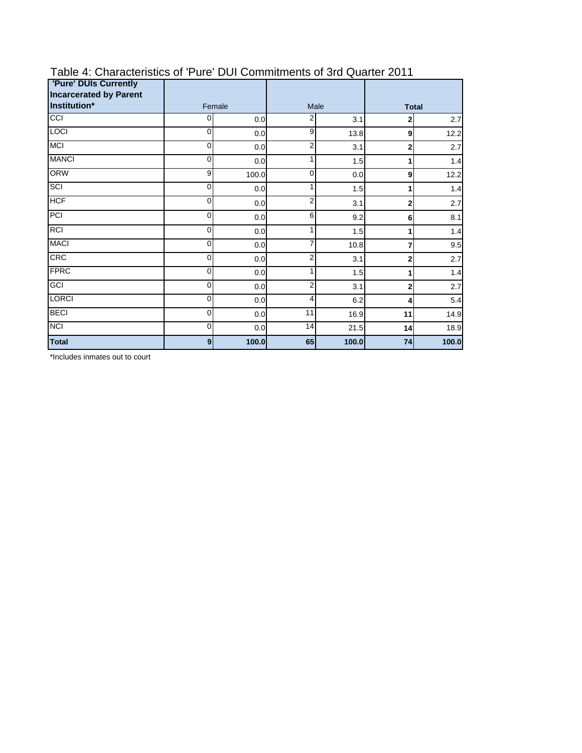| <b>'Pure' DUIs Currently</b><br><b>Incarcerated by Parent</b> |                  |        |                 |       |              |       |  |
|---------------------------------------------------------------|------------------|--------|-----------------|-------|--------------|-------|--|
| Institution*                                                  |                  | Female |                 | Male  | <b>Total</b> |       |  |
| CCI                                                           | 0                | 0.0    | 2               | 3.1   | 2            | 2.7   |  |
| <b>LOCI</b>                                                   | $\mathbf 0$      | 0.0    | 9               | 13.8  | 9            | 12.2  |  |
| <b>MCI</b>                                                    | 0                | 0.0    | 2               | 3.1   | $\mathbf{2}$ | 2.7   |  |
| <b>MANCI</b>                                                  | 0                | 0.0    | 1               | 1.5   | 1            | 1.4   |  |
| <b>ORW</b>                                                    | 9                | 100.0  | 0               | 0.0   | 9            | 12.2  |  |
| SCI                                                           | 0                | 0.0    | 1               | 1.5   | 1            | 1.4   |  |
| <b>HCF</b>                                                    | 0                | 0.0    | 2               | 3.1   | 2            | 2.7   |  |
| PCI                                                           | 0                | 0.0    | 6               | 9.2   | 6            | 8.1   |  |
| <b>RCI</b>                                                    | 0                | 0.0    | 1               | 1.5   | 1            | 1.4   |  |
| <b>MACI</b>                                                   | 0                | 0.0    | 7               | 10.8  | 7            | 9.5   |  |
| <b>CRC</b>                                                    | 0                | 0.0    | $\overline{2}$  | 3.1   | 2            | 2.7   |  |
| <b>FPRC</b>                                                   | 0                | 0.0    | 1               | 1.5   | 1            | 1.4   |  |
| GCI                                                           | 0                | 0.0    | 2               | 3.1   | $\mathbf{2}$ | 2.7   |  |
| <b>LORCI</b>                                                  | 0                | 0.0    | 4               | 6.2   | 4            | 5.4   |  |
| <b>BECI</b>                                                   | 0                | 0.0    | $\overline{11}$ | 16.9  | 11           | 14.9  |  |
| <b>NCI</b>                                                    | $\mathbf 0$      | 0.0    | 14              | 21.5  | 14           | 18.9  |  |
| <b>Total</b>                                                  | $\boldsymbol{9}$ | 100.0  | 65              | 100.0 | 74           | 100.0 |  |

## Table 4: Characteristics of 'Pure' DUI Commitments of 3rd Quarter 2011

\*Includes inmates out to court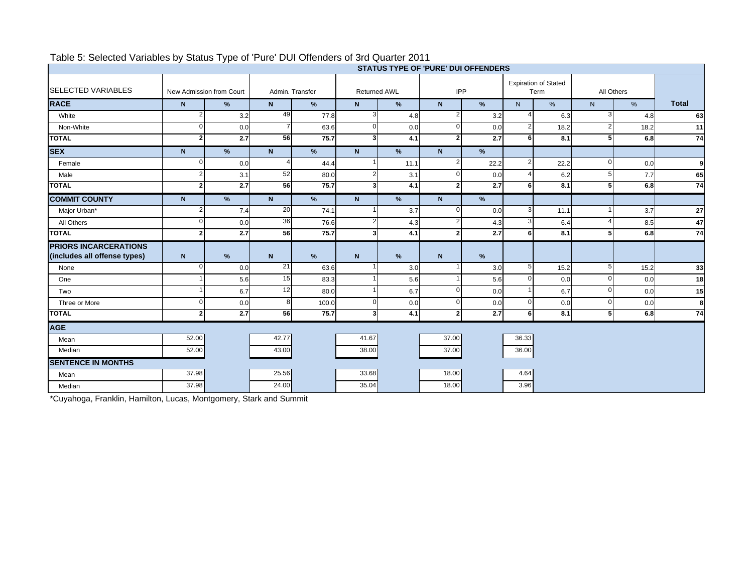|                                                              | <b>STATUS TYPE OF 'PURE' DUI OFFENDERS</b> |                  |                 |                 |                     |      |                |                  |                |                                     |                |      |              |
|--------------------------------------------------------------|--------------------------------------------|------------------|-----------------|-----------------|---------------------|------|----------------|------------------|----------------|-------------------------------------|----------------|------|--------------|
| <b>SELECTED VARIABLES</b>                                    | New Admission from Court                   |                  |                 | Admin. Transfer | <b>Returned AWL</b> |      | IPP            |                  |                | <b>Expiration of Stated</b><br>Term | All Others     |      |              |
| <b>RACE</b>                                                  | $\mathbf N$                                | %                | N               | %               | N                   | %    | $\mathbf N$    | %                | N              | %                                   | N <sub>1</sub> | %    | <b>Total</b> |
| White                                                        | $\mathbf{2}$                               | 3.2              | 49              | 77.8            | 3                   | 4.8  | 2              | 3.2              |                | 6.3                                 |                | 4.8  | 63           |
| Non-White                                                    | $\Omega$                                   | 0.0              |                 | 63.6            | $\mathbf 0$         | 0.0  | $\Omega$       | 0.0              | $\overline{2}$ | 18.2                                |                | 18.2 | 11           |
| <b>TOTAL</b>                                                 | $\overline{2}$                             | 2.7              | 56              | 75.7            | 3                   | 4.1  | $\overline{2}$ | 2.7              | 6              | 8.1                                 |                | 6.8  | 74           |
| <b>SEX</b>                                                   | $\mathbf N$                                | %                | $\mathsf{N}$    | $\%$            | $\mathbf N$         | %    | $\mathbf N$    | %                |                |                                     |                |      |              |
| Female                                                       | 0                                          | 0.0              |                 | 44.4            |                     | 11.1 |                | 22.2             | 2              | 22.2                                |                | 0.0  | 9            |
| Male                                                         | 2                                          | 3.1              | 52              | 80.0            |                     | 3.1  | $\Omega$       | 0.0              |                | 6.2                                 |                | 7.7  | 65           |
| <b>TOTAL</b>                                                 | $\overline{2}$                             | 2.7              | 56              | 75.7            | 3                   | 4.1  | $\overline{2}$ | 2.7              | 6              | 8.1                                 |                | 6.8  | 74           |
| <b>COMMIT COUNTY</b>                                         | N                                          | %                | $\mathsf{N}$    | %               | $\mathsf{N}$        | %    | $\mathbf N$    | %                |                |                                     |                |      |              |
| Major Urban*                                                 | $\overline{2}$                             | 7.4              | 20              | 74.1            |                     | 3.7  | $\Omega$       | 0.0              | 3              | 11.1                                |                | 3.7  | 27           |
| All Others                                                   | 0                                          | 0.0              | 36              | 76.6            | 2                   | 4.3  | $\overline{2}$ | 4.3              | 3              | 6.4                                 |                | 8.5  | 47           |
| <b>TOTAL</b>                                                 | $\overline{2}$                             | $\overline{2.7}$ | 56              | 75.7            |                     | 4.1  | 2              | $\overline{2.7}$ | 6              | 8.1                                 |                | 6.8  | 74           |
| <b>PRIORS INCARCERATIONS</b><br>(includes all offense types) | $\mathsf{N}$                               | %                | $\mathsf{N}$    | %               | $\mathbf N$         | %    | $\mathbf N$    | %                |                |                                     |                |      |              |
| None                                                         | $\Omega$                                   | 0.0              | 21              | 63.6            |                     | 3.0  |                | 3.0              | 5              | 15.2                                |                | 15.2 | 33           |
| One                                                          |                                            | 5.6              | 15              | 83.3            |                     | 5.6  |                | 5.6              | $\Omega$       | 0.0                                 |                | 0.0  | 18           |
| Two                                                          |                                            | 6.7              | $\overline{12}$ | 80.0            |                     | 6.7  | $\Omega$       | 0.0              |                | 6.7                                 | ∩              | 0.0  | 15           |
| Three or More                                                | U                                          | 0.0              | 8               | 100.0           | $\Omega$            | 0.0  | $\Omega$       | 0.0              | $\Omega$       | 0.0                                 |                | 0.0  | 8            |
| <b>TOTAL</b>                                                 | 21                                         | 2.7              | 56              | 75.7            | 3                   | 4.1  | $\overline{2}$ | 2.7              | 6              | 8.1                                 | 5              | 6.8  | 74           |
| <b>AGE</b>                                                   |                                            |                  |                 |                 |                     |      |                |                  |                |                                     |                |      |              |
| Mean                                                         | 52.00                                      |                  | 42.77           |                 | 41.67               |      | 37.00          |                  | 36.33          |                                     |                |      |              |
| Median                                                       | 52.00                                      |                  | 43.00           |                 | 38.00               |      | 37.00          |                  | 36.00          |                                     |                |      |              |
| <b>SENTENCE IN MONTHS</b>                                    |                                            |                  |                 |                 |                     |      |                |                  |                |                                     |                |      |              |
| Mean                                                         | 37.98                                      |                  | 25.56           |                 | 33.68               |      | 18.00          |                  | 4.64           |                                     |                |      |              |
| Median                                                       | 37.98                                      |                  | 24.00           |                 | 35.04               |      | 18.00          |                  | 3.96           |                                     |                |      |              |

### Table 5: Selected Variables by Status Type of 'Pure' DUI Offenders of 3rd Quarter 2011

\*Cuyahoga, Franklin, Hamilton, Lucas, Montgomery, Stark and Summit